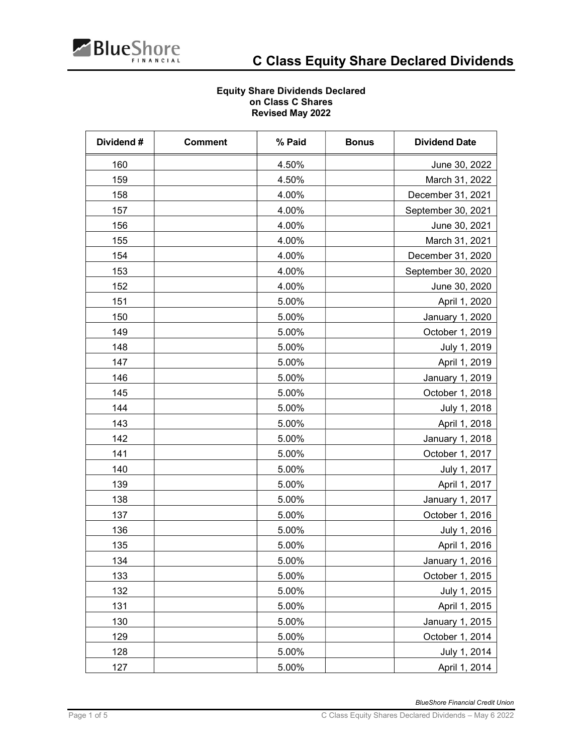

## Equity Share Dividends Declared on Class C Shares Revised May 2022

| Dividend# | <b>Comment</b> | % Paid | <b>Bonus</b> | <b>Dividend Date</b> |
|-----------|----------------|--------|--------------|----------------------|
| 160       |                | 4.50%  |              | June 30, 2022        |
| 159       |                | 4.50%  |              | March 31, 2022       |
| 158       |                | 4.00%  |              | December 31, 2021    |
| 157       |                | 4.00%  |              | September 30, 2021   |
| 156       |                | 4.00%  |              | June 30, 2021        |
| 155       |                | 4.00%  |              | March 31, 2021       |
| 154       |                | 4.00%  |              | December 31, 2020    |
| 153       |                | 4.00%  |              | September 30, 2020   |
| 152       |                | 4.00%  |              | June 30, 2020        |
| 151       |                | 5.00%  |              | April 1, 2020        |
| 150       |                | 5.00%  |              | January 1, 2020      |
| 149       |                | 5.00%  |              | October 1, 2019      |
| 148       |                | 5.00%  |              | July 1, 2019         |
| 147       |                | 5.00%  |              | April 1, 2019        |
| 146       |                | 5.00%  |              | January 1, 2019      |
| 145       |                | 5.00%  |              | October 1, 2018      |
| 144       |                | 5.00%  |              | July 1, 2018         |
| 143       |                | 5.00%  |              | April 1, 2018        |
| 142       |                | 5.00%  |              | January 1, 2018      |
| 141       |                | 5.00%  |              | October 1, 2017      |
| 140       |                | 5.00%  |              | July 1, 2017         |
| 139       |                | 5.00%  |              | April 1, 2017        |
| 138       |                | 5.00%  |              | January 1, 2017      |
| 137       |                | 5.00%  |              | October 1, 2016      |
| 136       |                | 5.00%  |              | July 1, 2016         |
| 135       |                | 5.00%  |              | April 1, 2016        |
| 134       |                | 5.00%  |              | January 1, 2016      |
| 133       |                | 5.00%  |              | October 1, 2015      |
| 132       |                | 5.00%  |              | July 1, 2015         |
| 131       |                | 5.00%  |              | April 1, 2015        |
| 130       |                | 5.00%  |              | January 1, 2015      |
| 129       |                | 5.00%  |              | October 1, 2014      |
| 128       |                | 5.00%  |              | July 1, 2014         |
| 127       |                | 5.00%  |              | April 1, 2014        |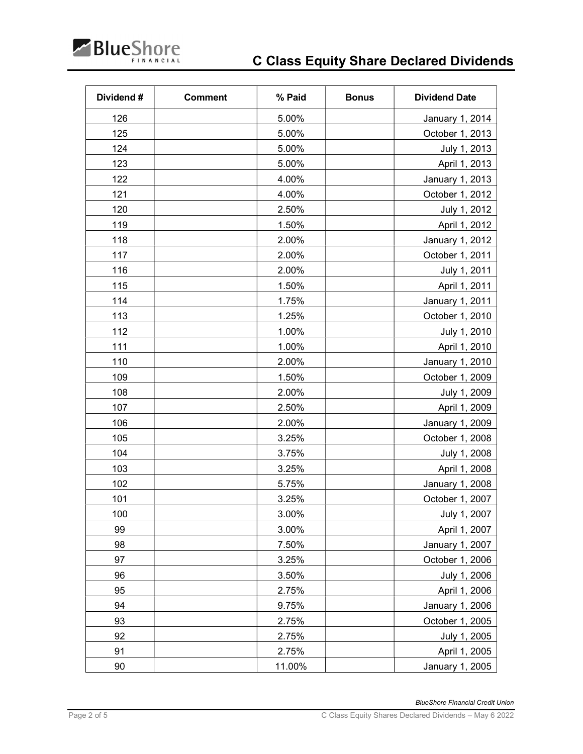

| Dividend# | <b>Comment</b> | % Paid | <b>Bonus</b> | <b>Dividend Date</b> |
|-----------|----------------|--------|--------------|----------------------|
| 126       |                | 5.00%  |              | January 1, 2014      |
| 125       |                | 5.00%  |              | October 1, 2013      |
| 124       |                | 5.00%  |              | July 1, 2013         |
| 123       |                | 5.00%  |              | April 1, 2013        |
| 122       |                | 4.00%  |              | January 1, 2013      |
| 121       |                | 4.00%  |              | October 1, 2012      |
| 120       |                | 2.50%  |              | July 1, 2012         |
| 119       |                | 1.50%  |              | April 1, 2012        |
| 118       |                | 2.00%  |              | January 1, 2012      |
| 117       |                | 2.00%  |              | October 1, 2011      |
| 116       |                | 2.00%  |              | July 1, 2011         |
| 115       |                | 1.50%  |              | April 1, 2011        |
| 114       |                | 1.75%  |              | January 1, 2011      |
| 113       |                | 1.25%  |              | October 1, 2010      |
| 112       |                | 1.00%  |              | July 1, 2010         |
| 111       |                | 1.00%  |              | April 1, 2010        |
| 110       |                | 2.00%  |              | January 1, 2010      |
| 109       |                | 1.50%  |              | October 1, 2009      |
| 108       |                | 2.00%  |              | July 1, 2009         |
| 107       |                | 2.50%  |              | April 1, 2009        |
| 106       |                | 2.00%  |              | January 1, 2009      |
| 105       |                | 3.25%  |              | October 1, 2008      |
| 104       |                | 3.75%  |              | July 1, 2008         |
| 103       |                | 3.25%  |              | April 1, 2008        |
| 102       |                | 5.75%  |              | January 1, 2008      |
| 101       |                | 3.25%  |              | October 1, 2007      |
| 100       |                | 3.00%  |              | July 1, 2007         |
| 99        |                | 3.00%  |              | April 1, 2007        |
| 98        |                | 7.50%  |              | January 1, 2007      |
| 97        |                | 3.25%  |              | October 1, 2006      |
| 96        |                | 3.50%  |              | July 1, 2006         |
| 95        |                | 2.75%  |              | April 1, 2006        |
| 94        |                | 9.75%  |              | January 1, 2006      |
| 93        |                | 2.75%  |              | October 1, 2005      |
| 92        |                | 2.75%  |              | July 1, 2005         |
| 91        |                | 2.75%  |              | April 1, 2005        |
| 90        |                | 11.00% |              | January 1, 2005      |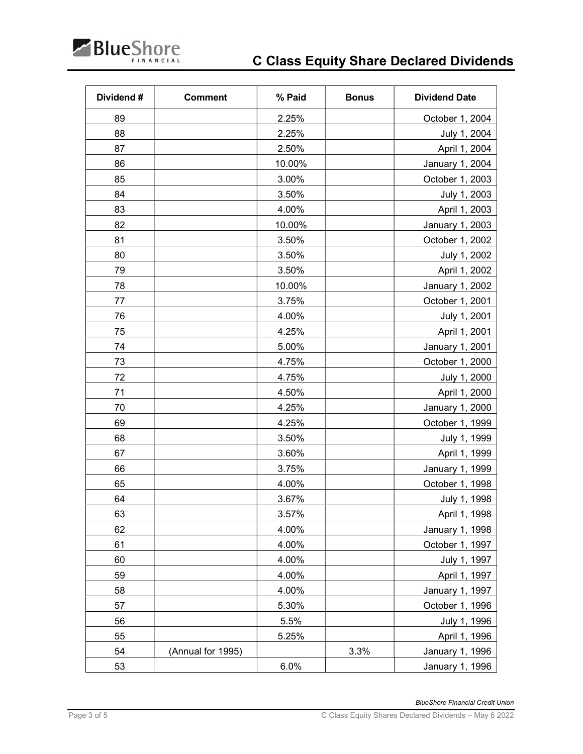

| Dividend# | <b>Comment</b>    | % Paid | <b>Bonus</b> | <b>Dividend Date</b> |
|-----------|-------------------|--------|--------------|----------------------|
| 89        |                   | 2.25%  |              | October 1, 2004      |
| 88        |                   | 2.25%  |              | July 1, 2004         |
| 87        |                   | 2.50%  |              | April 1, 2004        |
| 86        |                   | 10.00% |              | January 1, 2004      |
| 85        |                   | 3.00%  |              | October 1, 2003      |
| 84        |                   | 3.50%  |              | July 1, 2003         |
| 83        |                   | 4.00%  |              | April 1, 2003        |
| 82        |                   | 10.00% |              | January 1, 2003      |
| 81        |                   | 3.50%  |              | October 1, 2002      |
| 80        |                   | 3.50%  |              | July 1, 2002         |
| 79        |                   | 3.50%  |              | April 1, 2002        |
| 78        |                   | 10.00% |              | January 1, 2002      |
| 77        |                   | 3.75%  |              | October 1, 2001      |
| 76        |                   | 4.00%  |              | July 1, 2001         |
| 75        |                   | 4.25%  |              | April 1, 2001        |
| 74        |                   | 5.00%  |              | January 1, 2001      |
| 73        |                   | 4.75%  |              | October 1, 2000      |
| 72        |                   | 4.75%  |              | July 1, 2000         |
| 71        |                   | 4.50%  |              | April 1, 2000        |
| 70        |                   | 4.25%  |              | January 1, 2000      |
| 69        |                   | 4.25%  |              | October 1, 1999      |
| 68        |                   | 3.50%  |              | July 1, 1999         |
| 67        |                   | 3.60%  |              | April 1, 1999        |
| 66        |                   | 3.75%  |              | January 1, 1999      |
| 65        |                   | 4.00%  |              | October 1, 1998      |
| 64        |                   | 3.67%  |              | July 1, 1998         |
| 63        |                   | 3.57%  |              | April 1, 1998        |
| 62        |                   | 4.00%  |              | January 1, 1998      |
| 61        |                   | 4.00%  |              | October 1, 1997      |
| 60        |                   | 4.00%  |              | July 1, 1997         |
| 59        |                   | 4.00%  |              | April 1, 1997        |
| 58        |                   | 4.00%  |              | January 1, 1997      |
| 57        |                   | 5.30%  |              | October 1, 1996      |
| 56        |                   | 5.5%   |              | July 1, 1996         |
| 55        |                   | 5.25%  |              | April 1, 1996        |
| 54        | (Annual for 1995) |        | 3.3%         | January 1, 1996      |
| 53        |                   | 6.0%   |              | January 1, 1996      |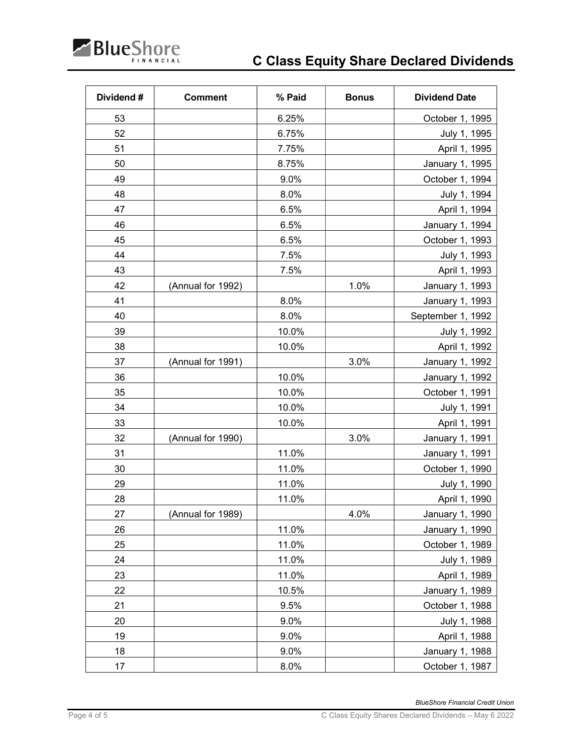

| Dividend# | <b>Comment</b>    | % Paid | <b>Bonus</b> | <b>Dividend Date</b> |
|-----------|-------------------|--------|--------------|----------------------|
| 53        |                   | 6.25%  |              | October 1, 1995      |
| 52        |                   | 6.75%  |              | July 1, 1995         |
| 51        |                   | 7.75%  |              | April 1, 1995        |
| 50        |                   | 8.75%  |              | January 1, 1995      |
| 49        |                   | 9.0%   |              | October 1, 1994      |
| 48        |                   | 8.0%   |              | July 1, 1994         |
| 47        |                   | 6.5%   |              | April 1, 1994        |
| 46        |                   | 6.5%   |              | January 1, 1994      |
| 45        |                   | 6.5%   |              | October 1, 1993      |
| 44        |                   | 7.5%   |              | July 1, 1993         |
| 43        |                   | 7.5%   |              | April 1, 1993        |
| 42        | (Annual for 1992) |        | 1.0%         | January 1, 1993      |
| 41        |                   | 8.0%   |              | January 1, 1993      |
| 40        |                   | 8.0%   |              | September 1, 1992    |
| 39        |                   | 10.0%  |              | July 1, 1992         |
| 38        |                   | 10.0%  |              | April 1, 1992        |
| 37        | (Annual for 1991) |        | 3.0%         | January 1, 1992      |
| 36        |                   | 10.0%  |              | January 1, 1992      |
| 35        |                   | 10.0%  |              | October 1, 1991      |
| 34        |                   | 10.0%  |              | July 1, 1991         |
| 33        |                   | 10.0%  |              | April 1, 1991        |
| 32        | (Annual for 1990) |        | 3.0%         | January 1, 1991      |
| 31        |                   | 11.0%  |              | January 1, 1991      |
| 30        |                   | 11.0%  |              | October 1, 1990      |
| 29        |                   | 11.0%  |              | July 1, 1990         |
| 28        |                   | 11.0%  |              | April 1, 1990        |
| 27        | (Annual for 1989) |        | 4.0%         | January 1, 1990      |
| 26        |                   | 11.0%  |              | January 1, 1990      |
| 25        |                   | 11.0%  |              | October 1, 1989      |
| 24        |                   | 11.0%  |              | July 1, 1989         |
| 23        |                   | 11.0%  |              | April 1, 1989        |
| 22        |                   | 10.5%  |              | January 1, 1989      |
| 21        |                   | 9.5%   |              | October 1, 1988      |
| 20        |                   | 9.0%   |              | July 1, 1988         |
| 19        |                   | 9.0%   |              | April 1, 1988        |
| 18        |                   | 9.0%   |              | January 1, 1988      |
| 17        |                   | 8.0%   |              | October 1, 1987      |